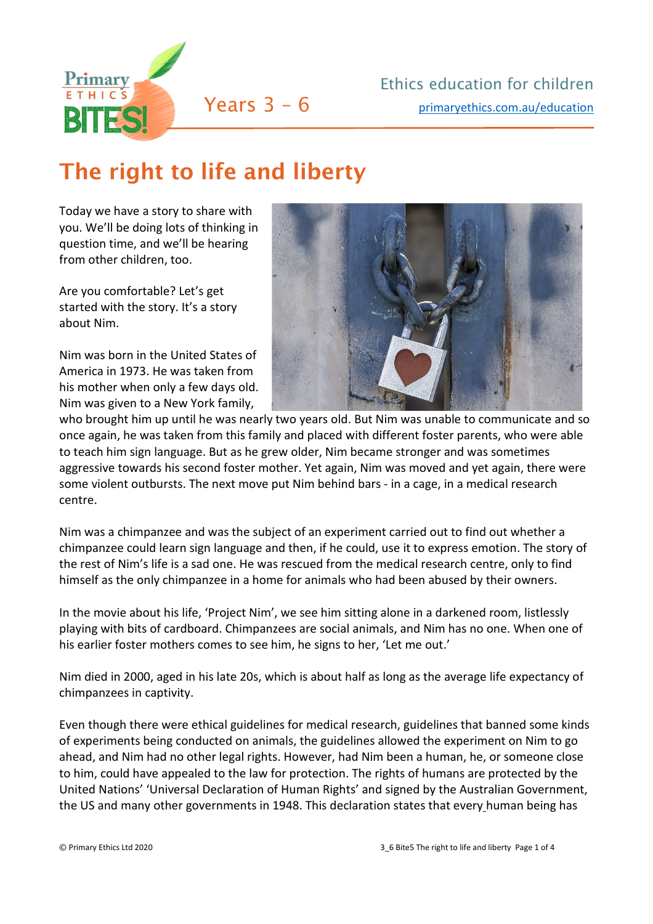

## The right to life and liberty

Today we have a story to share with you. We'll be doing lots of thinking in question time, and we'll be hearing from other children, too.

Are you comfortable? Let's get started with the story. It's a story about Nim.

Nim was born in the United States of America in 1973. He was taken from his mother when only a few days old. Nim was given to a New York family,



who brought him up until he was nearly two years old. But Nim was unable to communicate and so once again, he was taken from this family and placed with different foster parents, who were able to teach him sign language. But as he grew older, Nim became stronger and was sometimes aggressive towards his second foster mother. Yet again, Nim was moved and yet again, there were some violent outbursts. The next move put Nim behind bars - in a cage, in a medical research centre.

Nim was a chimpanzee and was the subject of an experiment carried out to find out whether a chimpanzee could learn sign language and then, if he could, use it to express emotion. The story of the rest of Nim's life is a sad one. He was rescued from the medical research centre, only to find himself as the only chimpanzee in a home for animals who had been abused by their owners.

In the movie about his life, 'Project Nim', we see him sitting alone in a darkened room, listlessly playing with bits of cardboard. Chimpanzees are social animals, and Nim has no one. When one of his earlier foster mothers comes to see him, he signs to her, 'Let me out.'

Nim died in 2000, aged in his late 20s, which is about half as long as the average life expectancy of chimpanzees in captivity.

Even though there were ethical guidelines for medical research, guidelines that banned some kinds of experiments being conducted on animals, the guidelines allowed the experiment on Nim to go ahead, and Nim had no other legal rights. However, had Nim been a human, he, or someone close to him, could have appealed to the law for protection. The rights of humans are protected by the United Nations' 'Universal Declaration of Human Rights' and signed by the Australian Government, the US and many other governments in 1948. This declaration states that every human being has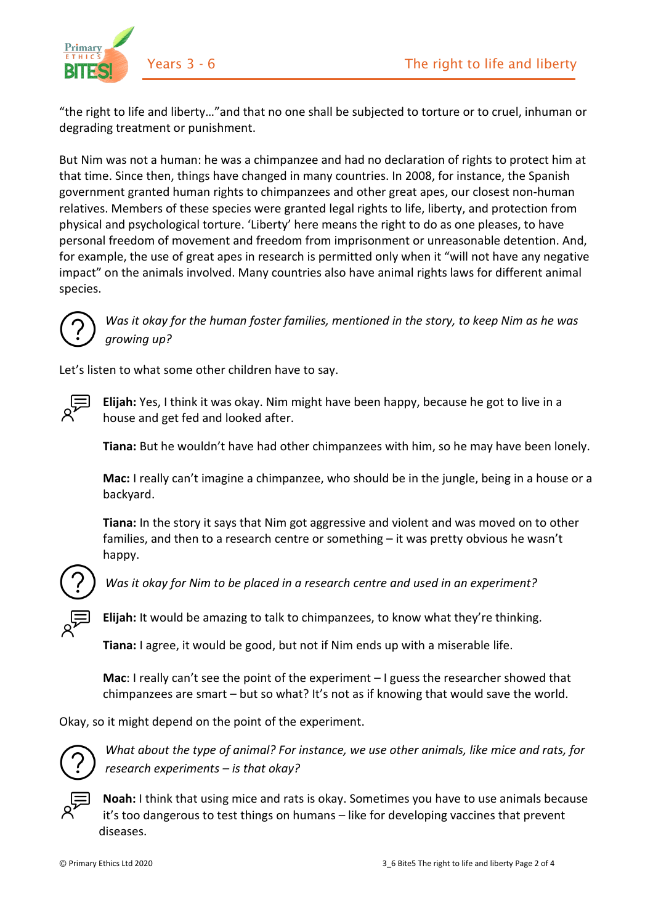

"the right to life and liberty…"and that no one shall be subjected to torture or to cruel, inhuman or degrading treatment or punishment.

But Nim was not a human: he was a chimpanzee and had no declaration of rights to protect him at that time. Since then, things have changed in many countries. In 2008, for instance, the Spanish government granted human rights to chimpanzees and other great apes, our closest non-human relatives. Members of these species were granted legal rights to life, liberty, and protection from physical and psychological torture. 'Liberty' here means the right to do as one pleases, to have personal freedom of movement and freedom from imprisonment or unreasonable detention. And, for example, the use of great apes in research is permitted only when it "will not have any negative impact" on the animals involved. Many countries also have animal rights laws for different animal species.



*Was it okay for the human foster families, mentioned in the story, to keep Nim as he was growing up?*

Let's listen to what some other children have to say.



**Elijah:** Yes, I think it was okay. Nim might have been happy, because he got to live in a house and get fed and looked after.

**Tiana:** But he wouldn't have had other chimpanzees with him, so he may have been lonely.

**Mac:** I really can't imagine a chimpanzee, who should be in the jungle, being in a house or a backyard.

**Tiana:** In the story it says that Nim got aggressive and violent and was moved on to other families, and then to a research centre or something – it was pretty obvious he wasn't happy.



*Was it okay for Nim to be placed in a research centre and used in an experiment?*

**Elijah:** It would be amazing to talk to chimpanzees, to know what they're thinking.

**Tiana:** I agree, it would be good, but not if Nim ends up with a miserable life.

**Mac**: I really can't see the point of the experiment – I guess the researcher showed that chimpanzees are smart – but so what? It's not as if knowing that would save the world.

Okay, so it might depend on the point of the experiment.



*What about the type of animal? For instance, we use other animals, like mice and rats, for research experiments – is that okay?*



**Noah:** I think that using mice and rats is okay. Sometimes you have to use animals because it's too dangerous to test things on humans – like for developing vaccines that prevent diseases.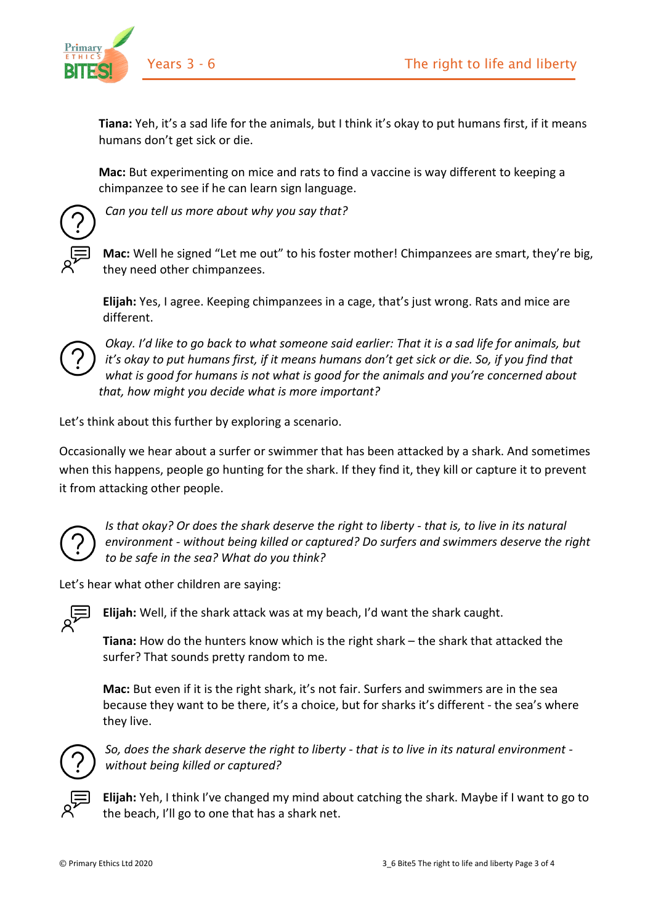

**Tiana:** Yeh, it's a sad life for the animals, but I think it's okay to put humans first, if it means humans don't get sick or die.

**Mac:** But experimenting on mice and rats to find a vaccine is way different to keeping a chimpanzee to see if he can learn sign language.



*Can you tell us more about why you say that?*

**Mac:** Well he signed "Let me out" to his foster mother! Chimpanzees are smart, they're big, they need other chimpanzees.

**Elijah:** Yes, I agree. Keeping chimpanzees in a cage, that's just wrong. Rats and mice are different.



*Okay. I'd like to go back to what someone said earlier: That it is a sad life for animals, but it's okay to put humans first, if it means humans don't get sick or die. So, if you find that what is good for humans is not what is good for the animals and you're concerned about that, how might you decide what is more important?* 

Let's think about this further by exploring a scenario.

Occasionally we hear about a surfer or swimmer that has been attacked by a shark. And sometimes when this happens, people go hunting for the shark. If they find it, they kill or capture it to prevent it from attacking other people.



*Is that okay? Or does the shark deserve the right to liberty - that is, to live in its natural environment - without being killed or captured? Do surfers and swimmers deserve the right to be safe in the sea? What do you think?* 

Let's hear what other children are saying:



**Elijah:** Well, if the shark attack was at my beach, I'd want the shark caught.

**Tiana:** How do the hunters know which is the right shark – the shark that attacked the surfer? That sounds pretty random to me.

**Mac:** But even if it is the right shark, it's not fair. Surfers and swimmers are in the sea because they want to be there, it's a choice, but for sharks it's different - the sea's where they live.



*So, does the shark deserve the right to liberty - that is to live in its natural environment without being killed or captured?* 



**Elijah:** Yeh, I think I've changed my mind about catching the shark. Maybe if I want to go to the beach, I'll go to one that has a shark net.